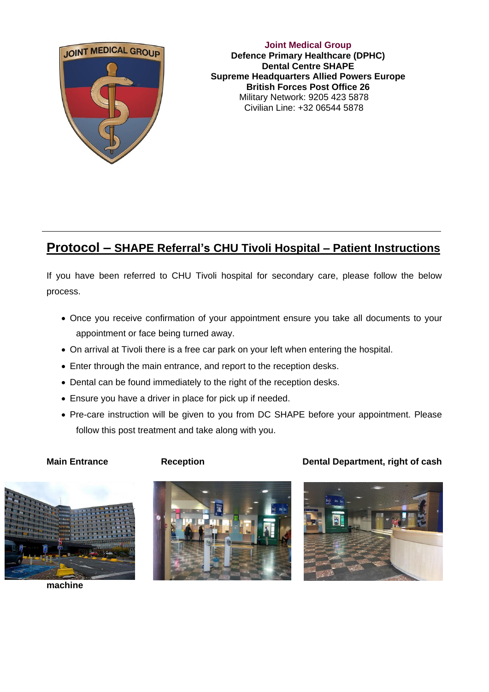

**Joint Medical Group Defence Primary Healthcare (DPHC) Dental Centre SHAPE Supreme Headquarters Allied Powers Europe British Forces Post Office 26** Military Network: 9205 423 5878 Civilian Line: +32 06544 5878

## **Protocol – SHAPE Referral's CHU Tivoli Hospital – Patient Instructions**

If you have been referred to CHU Tivoli hospital for secondary care, please follow the below process.

- Once you receive confirmation of your appointment ensure you take all documents to your appointment or face being turned away.
- On arrival at Tivoli there is a free car park on your left when entering the hospital.
- Enter through the main entrance, and report to the reception desks.
- Dental can be found immediately to the right of the reception desks.
- Ensure you have a driver in place for pick up if needed.
- Pre-care instruction will be given to you from DC SHAPE before your appointment. Please follow this post treatment and take along with you.



**machine**





## **Main Entrance Reception Reception Dental Department, right of cash**